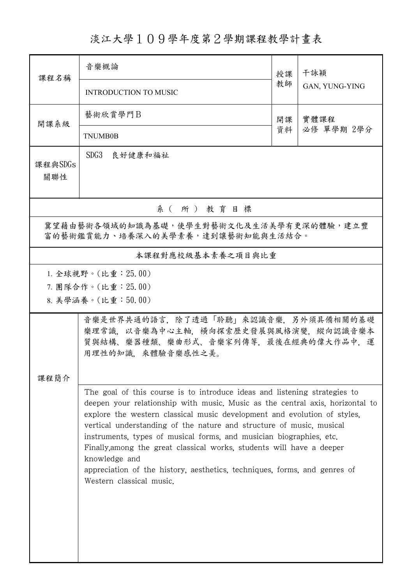## 淡江大學109學年度第2學期課程教學計畫表

| 課程名稱                                                                        | 音樂概論                                                                                                                                                                                                                                                                                                                                                                                                                                                                                                                                                                                     | 授課       | 干詠穎                |  |  |  |  |  |
|-----------------------------------------------------------------------------|------------------------------------------------------------------------------------------------------------------------------------------------------------------------------------------------------------------------------------------------------------------------------------------------------------------------------------------------------------------------------------------------------------------------------------------------------------------------------------------------------------------------------------------------------------------------------------------|----------|--------------------|--|--|--|--|--|
|                                                                             | <b>INTRODUCTION TO MUSIC</b>                                                                                                                                                                                                                                                                                                                                                                                                                                                                                                                                                             | 教師       | GAN, YUNG-YING     |  |  |  |  |  |
| 開課系級                                                                        | 藝術欣賞學門B                                                                                                                                                                                                                                                                                                                                                                                                                                                                                                                                                                                  | 開課<br>資料 | 實體課程<br>必修 單學期 2學分 |  |  |  |  |  |
|                                                                             | <b>TNUMB0B</b>                                                                                                                                                                                                                                                                                                                                                                                                                                                                                                                                                                           |          |                    |  |  |  |  |  |
| 課程與SDGs<br>關聯性                                                              | SDG3<br>良好健康和福祉                                                                                                                                                                                                                                                                                                                                                                                                                                                                                                                                                                          |          |                    |  |  |  |  |  |
| 系(所)教育目標                                                                    |                                                                                                                                                                                                                                                                                                                                                                                                                                                                                                                                                                                          |          |                    |  |  |  |  |  |
| 冀望藉由藝術各領域的知識為基礎,使學生對藝術文化及生活美學有更深的體驗,建立豐<br>富的藝術鑑賞能力、培養深入的美學素養,達到讓藝術知能與生活結合。 |                                                                                                                                                                                                                                                                                                                                                                                                                                                                                                                                                                                          |          |                    |  |  |  |  |  |
| 本課程對應校級基本素養之項目與比重                                                           |                                                                                                                                                                                                                                                                                                                                                                                                                                                                                                                                                                                          |          |                    |  |  |  |  |  |
| 1. 全球視野。(比重: 25.00)<br>7. 團隊合作。(比重:25.00)<br>8. 美學涵養。(比重:50.00)             |                                                                                                                                                                                                                                                                                                                                                                                                                                                                                                                                                                                          |          |                    |  |  |  |  |  |
| 課程簡介                                                                        | 音樂是世界共通的語言,除了透過「聆聽」來認識音樂,另外須具備相關的基礎<br>樂理常識,以音樂為中心主軸,橫向探索歷史發展與風格演變,縱向認識音樂本<br>質與結構、樂器種類、樂曲形式、音樂家列傳等,最後在經典的偉大作品中,運<br>用理性的知識,來體驗音樂感性之美。                                                                                                                                                                                                                                                                                                                                                                                                                                                   |          |                    |  |  |  |  |  |
|                                                                             | The goal of this course is to introduce ideas and listening strategies to<br>deepen your relationship with music. Music as the central axis, horizontal to<br>explore the western classical music development and evolution of styles,<br>vertical understanding of the nature and structure of music, musical<br>instruments, types of musical forms, and musician biographies, etc.<br>Finally, among the great classical works, students will have a deeper<br>knowledge and<br>appreciation of the history, aesthetics, techniques, forms, and genres of<br>Western classical music. |          |                    |  |  |  |  |  |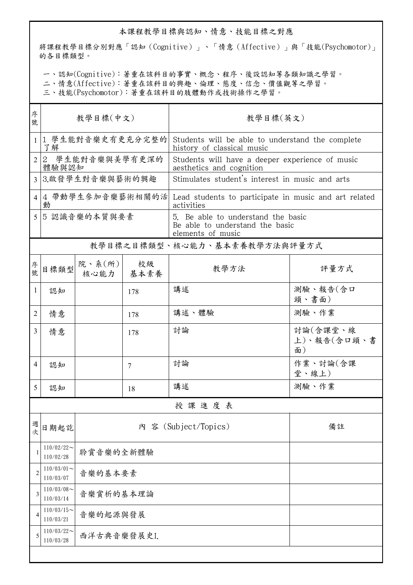## 本課程教學目標與認知、情意、技能目標之對應

將課程教學目標分別對應「認知(Cognitive)」、「情意(Affective)」與「技能(Psychomotor)」 的各目標類型。

一、認知(Cognitive):著重在該科目的事實、概念、程序、後設認知等各類知識之學習。

二、情意(Affective):著重在該科目的興趣、倫理、態度、信念、價值觀等之學習。

三、技能(Psychomotor):著重在該科目的肢體動作或技術操作之學習。

| 序<br>號         | 教學目標(中文)                     |                               |     | 教學目標(英文)                                                                                   |                               |  |  |  |
|----------------|------------------------------|-------------------------------|-----|--------------------------------------------------------------------------------------------|-------------------------------|--|--|--|
| $\mathbf{1}$   | 1 學生能對音樂史有更充分完整的<br>了解       |                               |     | Students will be able to understand the complete<br>history of classical music             |                               |  |  |  |
| $\overline{2}$ | 2 學生能對音樂與美學有更深的<br>體驗與認知     |                               |     | Students will have a deeper experience of music<br>aesthetics and cognition                |                               |  |  |  |
| $\overline{3}$ | 3.啟發學生對音樂與藝術的興趣              |                               |     | Stimulates student's interest in music and arts                                            |                               |  |  |  |
| 4              | 動                            |                               |     | 4 帶動學生參加音樂藝術相關的活 Lead students to participate in music and art related<br>activities       |                               |  |  |  |
| 5              | 5 認識音樂的本質與要素                 |                               |     | 5. Be able to understand the basic<br>Be able to understand the basic<br>elements of music |                               |  |  |  |
|                | 教學目標之目標類型、核心能力、基本素養教學方法與評量方式 |                               |     |                                                                                            |                               |  |  |  |
| 序號             | 目標類型                         | 院、系 $(\kappa)$<br>核心能力   基本素養 | 校級  | 教學方法                                                                                       | 評量方式                          |  |  |  |
| 1              | 認知                           |                               | 178 | 講述                                                                                         | 測驗、報告(含口<br>頭、書面)             |  |  |  |
| 2              | 情意                           |                               | 178 | 講述、體驗                                                                                      | 測驗、作業                         |  |  |  |
| $\overline{3}$ | 情意                           |                               | 178 | 討論                                                                                         | 討論(含課堂、線<br>上)、報告(含口頭、書<br>面) |  |  |  |
| 4              | 認知                           |                               | 7   | 討論                                                                                         | 作業、討論(含課<br>堂、線上)             |  |  |  |
| 5.             | 認知                           |                               | 18  | 講述                                                                                         | 測驗、作業                         |  |  |  |
| 授課進度表          |                              |                               |     |                                                                                            |                               |  |  |  |
| 週次             | 日期起訖                         | 内 容 (Subject/Topics)          |     |                                                                                            | 備註                            |  |  |  |
| 1              | $110/02/22$ ~<br>110/02/28   | 聆賞音樂的全新體驗                     |     |                                                                                            |                               |  |  |  |
| 2              | $110/03/01$ ~<br>110/03/07   | 音樂的基本要素                       |     |                                                                                            |                               |  |  |  |
| 3              | $110/03/08$ ~<br>110/03/14   | 音樂賞析的基本理論                     |     |                                                                                            |                               |  |  |  |
| 4              | $110/03/15$ ~<br>110/03/21   | 音樂的起源與發展                      |     |                                                                                            |                               |  |  |  |
| 5              | $110/03/22$ ~<br>110/03/28   | 西洋古典音樂發展史I.                   |     |                                                                                            |                               |  |  |  |
|                |                              |                               |     |                                                                                            |                               |  |  |  |